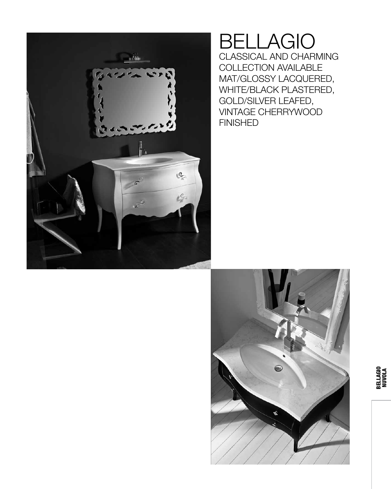

### BELLAGIO CLASSICAL AND CHARMING COLLECTION AVAILABLE MAT/GLOSSY LACQUERED, WHITE/BLACK PLASTERED, GOLD/SILVER LEAFED, VINTAGE CHERRYWOOD FINISHED

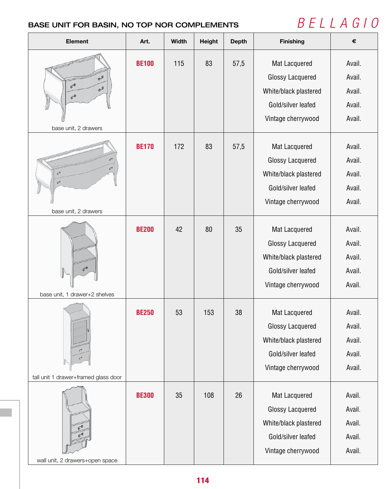## BASE UNIT FOR BASIN, NO TOP NOR COMPLEMENTS *B E L L A G I O*

| <b>Element</b>                                     | Art.         | <b>Width</b> | <b>Height</b> | <b>Depth</b> | <b>Finishing</b>                                                                                              | $\pmb{\epsilon}$                               |
|----------------------------------------------------|--------------|--------------|---------------|--------------|---------------------------------------------------------------------------------------------------------------|------------------------------------------------|
| $\sigma$ 9<br>$60^\circ$<br>eg.<br>60              | <b>BE100</b> | 115          | 83            | 57,5         | Mat Lacquered<br><b>Glossy Lacquered</b><br>White/black plastered<br>Gold/silver leafed<br>Vintage cherrywood | Avail.<br>Avail.<br>Avail.<br>Avail.<br>Avail. |
| base unit, 2 drawers                               |              |              |               |              |                                                                                                               |                                                |
| $6^{\circ}$<br>$6^{\circ}$<br>base unit, 2 drawers | <b>BE170</b> | 172          | 83            | 57,5         | Mat Lacquered<br><b>Glossy Lacquered</b><br>White/black plastered<br>Gold/silver leafed<br>Vintage cherrywood | Avail.<br>Avail.<br>Avail.<br>Avail.<br>Avail. |
| base unit, 1 drawer+2 shelves                      | <b>BE200</b> | 42           | 80            | 35           | Mat Lacquered<br><b>Glossy Lacquered</b><br>White/black plastered<br>Gold/silver leafed<br>Vintage cherrywood | Avail.<br>Avail.<br>Avail.<br>Avail.<br>Avail. |
| tall unit 1 drawer+framed glass door               | <b>BE250</b> | 53           | 153           | 38           | Mat Lacquered<br><b>Glossy Lacquered</b><br>White/black plastered<br>Gold/silver leafed<br>Vintage cherrywood | Avail.<br>Avail.<br>Avail.<br>Avail.<br>Avail. |
| wall unit, 2 drawers+open space                    | <b>BE300</b> | 35           | 108           | 26           | Mat Lacquered<br><b>Glossy Lacquered</b><br>White/black plastered<br>Gold/silver leafed<br>Vintage cherrywood | Avail.<br>Avail.<br>Avail.<br>Avail.<br>Avail. |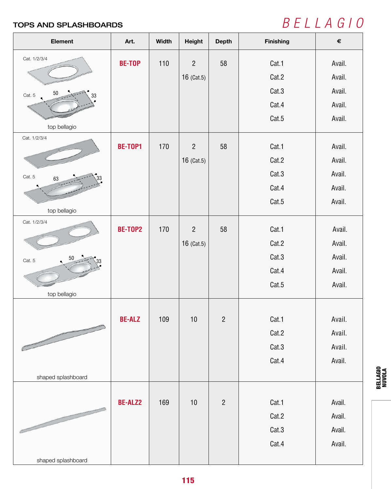# TOPS AND SPLASHBOARDS *B E L L A G I O*

| Element                      | Art.           | Width | <b>Height</b>  | <b>Depth</b>   | <b>Finishing</b> | $\pmb{\epsilon}$ |
|------------------------------|----------------|-------|----------------|----------------|------------------|------------------|
| Cat. 1/2/3/4                 | <b>BE-TOP</b>  | 110   | $\overline{2}$ | 58             | Cat.1            | Avail.           |
|                              |                |       | 16 (Cat.5)     |                | Cat.2            | Avail.           |
| 50<br>Cat. 5<br>33           |                |       |                |                | Cat.3            | Avail.           |
|                              |                |       |                |                | Cat.4            | Avail.           |
|                              |                |       |                |                | Cat.5            | Avail.           |
| top bellagio<br>Cat. 1/2/3/4 |                |       |                |                |                  |                  |
|                              | <b>BE-TOP1</b> | 170   | $\overline{2}$ | 58             | Cat.1            | Avail.           |
|                              |                |       | 16 (Cat.5)     |                | Cat.2            | Avail.           |
| Cat. 5<br>63                 |                |       |                |                | Cat.3            | Avail.           |
|                              |                |       |                |                | Cat.4            | Avail.           |
|                              |                |       |                |                | Cat.5            | Avail.           |
| top bellagio                 |                |       |                |                |                  |                  |
| Cat. 1/2/3/4                 | BE-TOP2        | 170   | $\overline{2}$ | 58             | Cat.1            | Avail.           |
|                              |                |       | 16 (Cat.5)     |                | Cat.2            | Avail.           |
| 50<br>Cat. 5                 |                |       |                |                | Cat.3            | Avail.           |
|                              |                |       |                |                | Cat.4            | Avail.           |
|                              |                |       |                |                | Cat.5            | Avail.           |
| top bellagio                 |                |       |                |                |                  |                  |
|                              |                |       |                |                |                  |                  |
|                              | <b>BE-ALZ</b>  | 109   | $10$           | $\overline{2}$ | Cat.1            | Avail.           |
|                              |                |       |                |                | Cat.2            | Avail.           |
|                              |                |       |                |                | Cat.3            | Avail.           |
|                              |                |       |                |                | Cat.4            | Avail.           |
| shaped splashboard           |                |       |                |                |                  |                  |
|                              |                |       |                | $\overline{2}$ |                  |                  |
|                              | <b>BE-ALZ2</b> | 169   | $10$           |                | Cat.1            | Avail.           |
| $\overline{\phantom{a}}$     |                |       |                |                | Cat.2            | Avail.           |
|                              |                |       |                |                | Cat.3            | Avail.           |
|                              |                |       |                |                | Cat.4            | Avail.           |
| shaped splashboard           |                |       |                |                |                  |                  |

BELLAGIO NUVOLA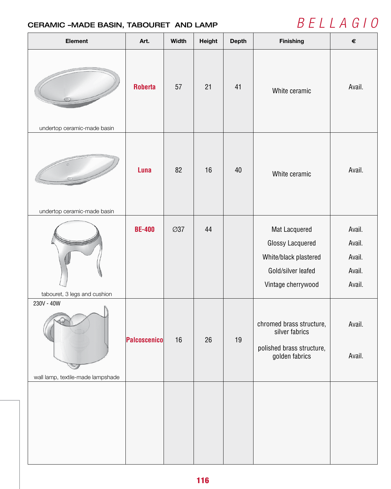## CERAMIC –MADE BASIN, TABOURET AND LAMP  $B E L L A G I O$

| <b>Element</b>                    | Art.           | <b>Width</b> | <b>Height</b> | <b>Depth</b> | Finishing                                                                                                     | $\pmb{\epsilon}$                               |
|-----------------------------------|----------------|--------------|---------------|--------------|---------------------------------------------------------------------------------------------------------------|------------------------------------------------|
|                                   | <b>Roberta</b> | 57           | 21            | 41           | White ceramic                                                                                                 | Avail.                                         |
| undertop ceramic-made basin       |                |              |               |              |                                                                                                               |                                                |
|                                   | Luna           | 82           | 16            | 40           | White ceramic                                                                                                 | Avail.                                         |
| undertop ceramic-made basin       |                |              |               |              |                                                                                                               |                                                |
| tabouret, 3 legs and cushion      | <b>BE-400</b>  | <b>Ø37</b>   | 44            |              | Mat Lacquered<br><b>Glossy Lacquered</b><br>White/black plastered<br>Gold/silver leafed<br>Vintage cherrywood | Avail.<br>Avail.<br>Avail.<br>Avail.<br>Avail. |
| 230V - 40W                        | Palcoscenico   | 16           | 26            | 19           | chromed brass structure,<br>silver fabrics<br>polished brass structure,<br>golden fabrics                     | Avail.<br>Avail.                               |
| wall lamp, textile-made lampshade |                |              |               |              |                                                                                                               |                                                |
|                                   |                |              |               |              |                                                                                                               |                                                |